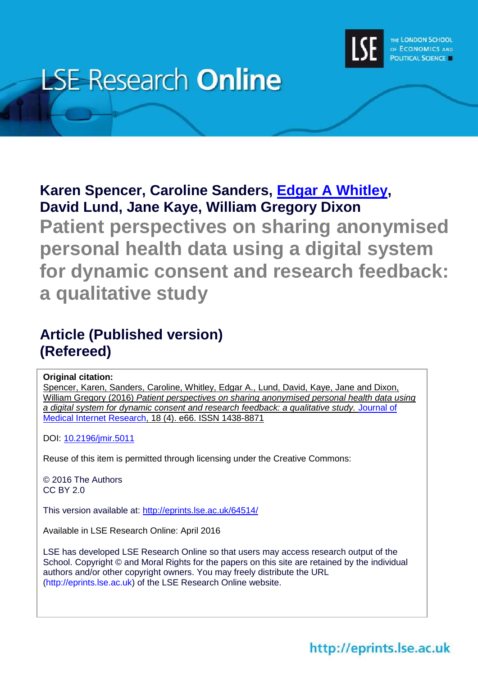

# **LSE Research Online**

# **Karen Spencer, Caroline Sanders, [Edgar A](http://www.lse.ac.uk/researchAndExpertise/Experts/profile.aspx?KeyValue=e.a.whitley@lse.ac.uk) Whitley, David Lund, Jane Kaye, William Gregory Dixon**

**Patient perspectives on sharing anonymised personal health data using a digital system for dynamic consent and research feedback: a qualitative study**

# **Article (Published version) (Refereed)**

# **Original citation:**

Spencer, Karen, Sanders, Caroline, Whitley, Edgar A., Lund, David, Kaye, Jane and Dixon, William Gregory (2016) *Patient perspectives on sharing anonymised personal health data using a digital system for dynamic consent and research feedback: a qualitative study.* [Journal of](http://www.jmir.org/)  [Medical Internet Research,](http://www.jmir.org/) 18 (4). e66. ISSN 1438-8871

DOI: [10.2196/jmir.5011](http://doi.org/10.2196/jmir.5011)

Reuse of this item is permitted through licensing under the Creative Commons:

© 2016 The Authors CC BY 2.0

This version available at:<http://eprints.lse.ac.uk/64514/>

Available in LSE Research Online: April 2016

LSE has developed LSE Research Online so that users may access research output of the School. Copyright © and Moral Rights for the papers on this site are retained by the individual authors and/or other copyright owners. You may freely distribute the URL (http://eprints.lse.ac.uk) of the LSE Research Online website.

# http://eprints.lse.ac.uk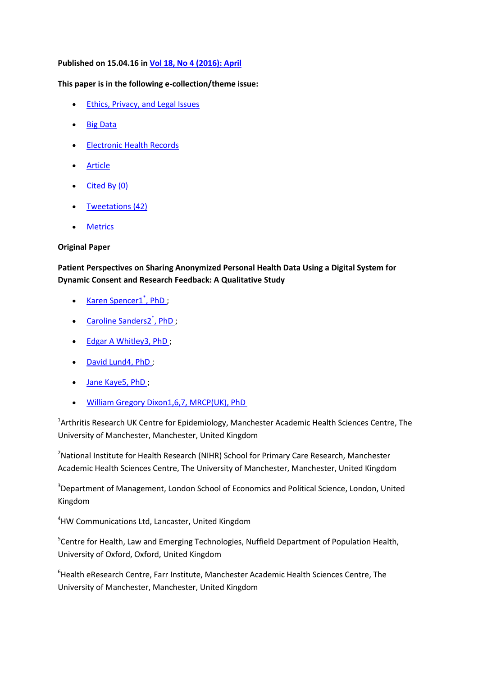# **Published on 15.04.16 in [Vol 18, No 4 \(2016\): April](http://www.jmir.org/2016/4)**

# **This paper is in the following e-collection/theme issue:**

- [Ethics, Privacy, and Legal Issues](http://www.jmir.org/themes/37)
- [Big Data](http://www.jmir.org/themes/183)
- [Electronic Health Records](http://www.jmir.org/themes/211)
- **[Article](http://www.jmir.org/2016/4/e66/)**
- $\bullet$  [Cited By](http://www.jmir.org/article/citations/5011)  $(0)$
- [Tweetations](http://www.jmir.org/article/tweets/5011) (42)
- [Metrics](http://www.jmir.org/article/metrics/5011)

# **Original Paper**

**Patient Perspectives on Sharing Anonymized Personal Health Data Using a Digital System for Dynamic Consent and Research Feedback: A Qualitative Study**

- [Karen Spencer1](http://www.jmir.org/search/searchResult?field%5B%5D=author&criteria%5B%5D=Karen+Spencer)<sup>\*</sup>, PhD[;](http://www.jmir.org/search/searchResult?field%5B%5D=author&criteria%5B%5D=Karen+Spencer)
- [Caroline Sanders2](http://www.jmir.org/search/searchResult?field%5B%5D=author&criteria%5B%5D=Caroline+Sanders)<sup>\*</sup>, Ph[D](http://www.jmir.org/search/searchResult?field%5B%5D=author&criteria%5B%5D=Caroline+Sanders);
- [Edgar A Whitley3, PhD](http://www.jmir.org/search/searchResult?field%5B%5D=author&criteria%5B%5D=Edgar%20A+Whitley);
- [David Lund4, PhD](http://www.jmir.org/search/searchResult?field%5B%5D=author&criteria%5B%5D=David+Lund)[;](http://www.jmir.org/search/searchResult?field%5B%5D=author&criteria%5B%5D=David+Lund)
- [Jane Kaye5, PhD](http://www.jmir.org/search/searchResult?field%5B%5D=author&criteria%5B%5D=Jane+Kaye) [;](http://www.jmir.org/search/searchResult?field%5B%5D=author&criteria%5B%5D=Jane+Kaye)
- [William Gregory Dixon1,6,7, MRCP\(UK\), PhD](http://www.jmir.org/search/searchResult?field%5B%5D=author&criteria%5B%5D=William%20Gregory+Dixon)

<sup>1</sup>Arthritis Research UK Centre for Epidemiology, Manchester Academic Health Sciences Centre, The University of Manchester, Manchester, United Kingdom

<sup>2</sup>National Institute for Health Research (NIHR) School for Primary Care Research, Manchester Academic Health Sciences Centre, The University of Manchester, Manchester, United Kingdom

<sup>3</sup>Department of Management, London School of Economics and Political Science, London, United Kingdom

<sup>4</sup>HW Communications Ltd, Lancaster, United Kingdom

<sup>5</sup>Centre for Health, Law and Emerging Technologies, Nuffield Department of Population Health, University of Oxford, Oxford, United Kingdom

<sup>6</sup>Health eResearch Centre, Farr Institute, Manchester Academic Health Sciences Centre, The University of Manchester, Manchester, United Kingdom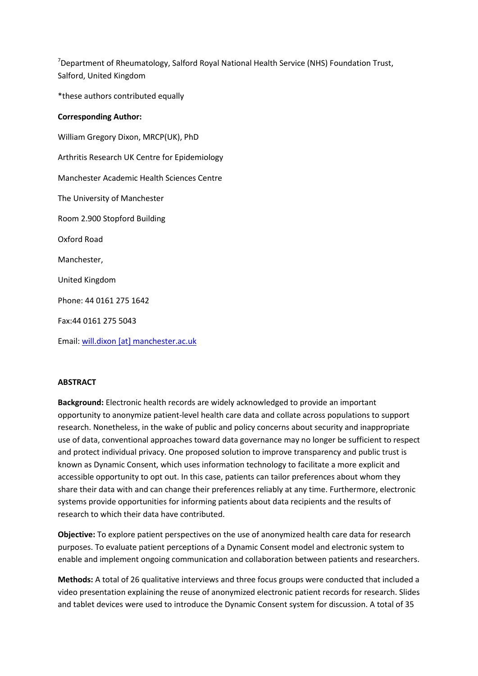<sup>7</sup>Department of Rheumatology, Salford Royal National Health Service (NHS) Foundation Trust, Salford, United Kingdom

\*these authors contributed equally

# **Corresponding Author:**

William Gregory Dixon, MRCP(UK), PhD Arthritis Research UK Centre for Epidemiology Manchester Academic Health Sciences Centre The University of Manchester Room 2.900 Stopford Building Oxford Road Manchester, United Kingdom Phone: 44 0161 275 1642 Fax:44 0161 275 5043

Email: [will.dixon \[at\] manchester.ac.uk](mailto:will.dixon@manchester.ac.uk)

# **ABSTRACT**

**Background:** Electronic health records are widely acknowledged to provide an important opportunity to anonymize patient-level health care data and collate across populations to support research. Nonetheless, in the wake of public and policy concerns about security and inappropriate use of data, conventional approaches toward data governance may no longer be sufficient to respect and protect individual privacy. One proposed solution to improve transparency and public trust is known as Dynamic Consent, which uses information technology to facilitate a more explicit and accessible opportunity to opt out. In this case, patients can tailor preferences about whom they share their data with and can change their preferences reliably at any time. Furthermore, electronic systems provide opportunities for informing patients about data recipients and the results of research to which their data have contributed.

**Objective:** To explore patient perspectives on the use of anonymized health care data for research purposes. To evaluate patient perceptions of a Dynamic Consent model and electronic system to enable and implement ongoing communication and collaboration between patients and researchers.

**Methods:** A total of 26 qualitative interviews and three focus groups were conducted that included a video presentation explaining the reuse of anonymized electronic patient records for research. Slides and tablet devices were used to introduce the Dynamic Consent system for discussion. A total of 35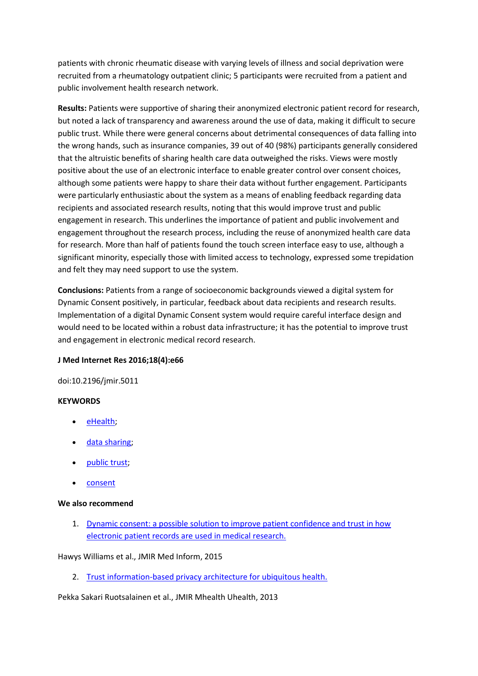patients with chronic rheumatic disease with varying levels of illness and social deprivation were recruited from a rheumatology outpatient clinic; 5 participants were recruited from a patient and public involvement health research network.

**Results:** Patients were supportive of sharing their anonymized electronic patient record for research, but noted a lack of transparency and awareness around the use of data, making it difficult to secure public trust. While there were general concerns about detrimental consequences of data falling into the wrong hands, such as insurance companies, 39 out of 40 (98%) participants generally considered that the altruistic benefits of sharing health care data outweighed the risks. Views were mostly positive about the use of an electronic interface to enable greater control over consent choices, although some patients were happy to share their data without further engagement. Participants were particularly enthusiastic about the system as a means of enabling feedback regarding data recipients and associated research results, noting that this would improve trust and public engagement in research. This underlines the importance of patient and public involvement and engagement throughout the research process, including the reuse of anonymized health care data for research. More than half of patients found the touch screen interface easy to use, although a significant minority, especially those with limited access to technology, expressed some trepidation and felt they may need support to use the system.

**Conclusions:** Patients from a range of socioeconomic backgrounds viewed a digital system for Dynamic Consent positively, in particular, feedback about data recipients and research results. Implementation of a digital Dynamic Consent system would require careful interface design and would need to be located within a robust data infrastructure; it has the potential to improve trust and engagement in electronic medical record research.

# **J Med Internet Res 2016;18(4):e66**

doi:10.2196/jmir.5011

# **KEYWORDS**

- [eHealth;](http://www.jmir.org/search/searchResult?field%5B%5D=keyword&criteria%5B%5D=eHealth)
- [data sharing;](http://www.jmir.org/search/searchResult?field%5B%5D=keyword&criteria%5B%5D=data%20sharing)
- [public trust;](http://www.jmir.org/search/searchResult?field%5B%5D=keyword&criteria%5B%5D=public%20trust)
- [consent](http://www.jmir.org/search/searchResult?field%5B%5D=keyword&criteria%5B%5D=consent)

# **We also recommend**

1. [Dynamic consent: a possible solution to improve patient confidence and trust in how](http://medinform.jmir.org/2015/1/e3/?trendmd-shared=0)  [electronic patient records are used in medical research.](http://medinform.jmir.org/2015/1/e3/?trendmd-shared=0)

# Hawys Williams et al., JMIR Med Inform, 2015

2. [Trust information-based privacy architecture for ubiquitous health.](http://mhealth.jmir.org/2013/2/e23?trendmd-shared=0)

Pekka Sakari Ruotsalainen et al., JMIR Mhealth Uhealth, 2013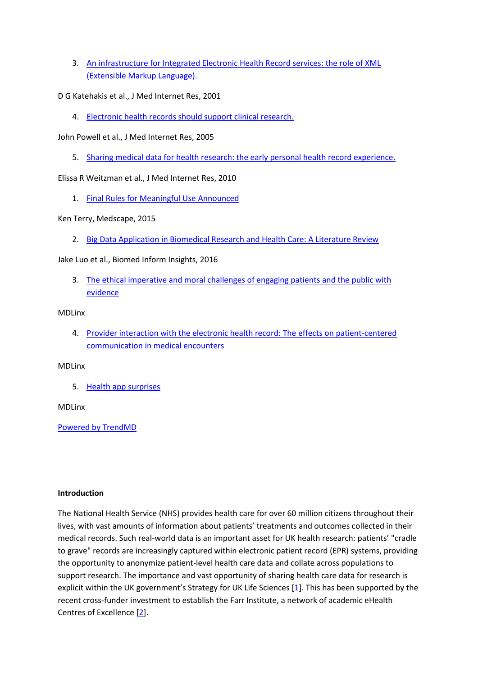- 3. [An infrastructure for Integrated Electronic Health Record services: the role of XML](http://www.jmir.org/2001/1/e7?trendmd-shared=0)  [\(Extensible Markup Language\).](http://www.jmir.org/2001/1/e7?trendmd-shared=0)
- D G Katehakis et al., J Med Internet Res, 2001
	- 4. [Electronic health records should support clinical research.](http://www.jmir.org/2005/1/e4?trendmd-shared=0)
- John Powell et al., J Med Internet Res, 2005
	- 5. [Sharing medical data for health research: the early personal health record experience.](http://www.jmir.org/2010/2/e14?trendmd-shared=0)

Elissa R Weitzman et al., J Med Internet Res, 2010

1. [Final Rules for Meaningful Use Announced](http://www.medscape.com/viewarticle/852258?src=trendmd_pilot&faf=1)

Ken Terry, Medscape, 2015

2. [Big Data Application in Biomedical Research and Health Care: A Literature Review](http://dx.doi.org/10.4137/BII.S31559?trendmd-shared=1)

Jake Luo et al., Biomed Inform Insights, 2016

3. [The ethical imperative and moral challenges of engaging patients and the public with](http://www.mdlinx.com/practice-management/medical-news-article/2016/04/06/ethical-issues-evidence-based-medicine-public/6615259/?category=latest&page_id=2)  [evidence](http://www.mdlinx.com/practice-management/medical-news-article/2016/04/06/ethical-issues-evidence-based-medicine-public/6615259/?category=latest&page_id=2)

# MDLinx

4. [Provider interaction with the electronic health record: The](http://www.mdlinx.com/practice-management/medical-news-article/2014/06/04/patient-centered-communication-electronic-medical-records/5289781/) effects on patient-centered [communication in medical encounters](http://www.mdlinx.com/practice-management/medical-news-article/2014/06/04/patient-centered-communication-electronic-medical-records/5289781/)

# MDLinx

5. [Health app surprises](http://www.mdlinx.com/nursing/medical-news-article/2016/04/11/6621357/?news_id=531&newsdt=041116&subspec_id=164&utm_source=DailyNL&utm_medium=newsletter&utm_content=General-Article&utm_campaign=article-section&category=latest&page_id=1)

# MDLinx

[Powered by](http://www.trendmd.com/) TrendMD

# **Introduction**

The National Health Service (NHS) provides health care for over 60 million citizens throughout their lives, with vast amounts of information about patients' treatments and outcomes collected in their medical records. Such real-world data is an important asset for UK health research: patients' "cradle to grave" records are increasingly captured within electronic patient record (EPR) systems, providing the opportunity to anonymize patient-level health care data and collate across populations to support research. The importance and vast opportunity of sharing health care data for research is explicit within the UK government's Strategy for UK Life Sciences [[1\]](http://www.jmir.org/2016/4/e66/#ref1). This has been supported by the recent cross-funder investment to establish the Farr Institute, a network of academic eHealth Centres of Excellence [\[2\]](http://www.jmir.org/2016/4/e66/#ref2).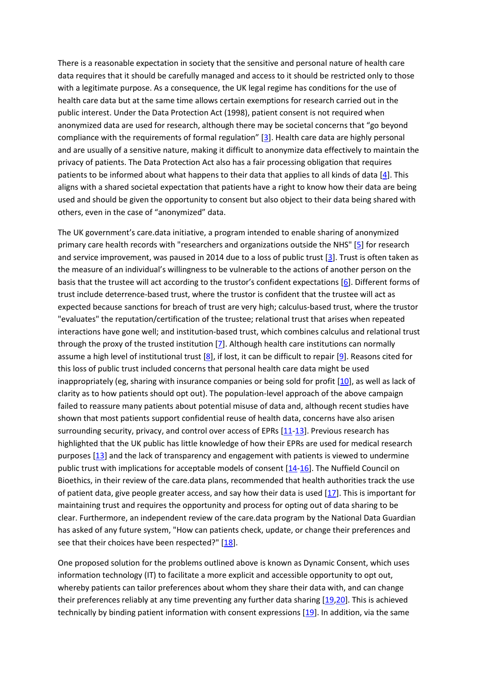There is a reasonable expectation in society that the sensitive and personal nature of health care data requires that it should be carefully managed and access to it should be restricted only to those with a legitimate purpose. As a consequence, the UK legal regime has conditions for the use of health care data but at the same time allows certain exemptions for research carried out in the public interest. Under the Data Protection Act (1998), patient consent is not required when anonymized data are used for research, although there may be societal concerns that "go beyond compliance with the requirements of formal regulation" [[3\]](http://www.jmir.org/2016/4/e66/#ref3). Health care data are highly personal and are usually of a sensitive nature, making it difficult to anonymize data effectively to maintain the privacy of patients. The Data Protection Act also has a fair processing obligation that requires patients to be informed about what happens to their data that applies to all kinds of data [\[4\]](http://www.jmir.org/2016/4/e66/#ref4). This aligns with a shared societal expectation that patients have a right to know how their data are being used and should be given the opportunity to consent but also object to their data being shared with others, even in the case of "anonymized" data.

The UK government's care.data initiative, a program intended to enable sharing of anonymized primary care health records with "researchers and organizations outside the NHS" [\[5\]](http://www.jmir.org/2016/4/e66/#ref5) for research and service improvement, was paused in 2014 due to a loss of public trust [\[3\]](http://www.jmir.org/2016/4/e66/#ref3). Trust is often taken as the measure of an individual's willingness to be vulnerable to the actions of another person on the basis that the trustee will act according to the trustor's confident expectations [[6\]](http://www.jmir.org/2016/4/e66/#ref6). Different forms of trust include deterrence-based trust, where the trustor is confident that the trustee will act as expected because sanctions for breach of trust are very high; calculus-based trust, where the trustor "evaluates" the reputation/certification of the trustee; relational trust that arises when repeated interactions have gone well; and institution-based trust, which combines calculus and relational trust through the proxy of the trusted institution [\[7\]](http://www.jmir.org/2016/4/e66/#ref7). Although health care institutions can normally assume a high level of institutional trust  $[8]$ , if lost, it can be difficult to repair  $[9]$ . Reasons cited for this loss of public trust included concerns that personal health care data might be used inappropriately (eg, sharing with insurance companies or being sold for profit [\[10\]](http://www.jmir.org/2016/4/e66/#ref10), as well as lack of clarity as to how patients should opt out). The population-level approach of the above campaign failed to reassure many patients about potential misuse of data and, although recent studies have shown that most patients support confidential reuse of health data, concerns have also arisen surrounding security, privacy, and control over access of EPRs  $[11-13]$  $[11-13]$ . Previous research has highlighted that the UK public has little knowledge of how their EPRs are used for medical research purposes [\[13\]](http://www.jmir.org/2016/4/e66/#ref13) and the lack of transparency and engagement with patients is viewed to undermine public trust with implications for acceptable models of consent [\[14](http://www.jmir.org/2016/4/e66/#ref14)[-16\]](http://www.jmir.org/2016/4/e66/#ref16). The Nuffield Council on Bioethics, in their review of the care.data plans, recommended that health authorities track the use of patient data, give people greater access, and say how their data is used [\[17\]](http://www.jmir.org/2016/4/e66/#ref17). This is important for maintaining trust and requires the opportunity and process for opting out of data sharing to be clear. Furthermore, an independent review of the care.data program by the National Data Guardian has asked of any future system, "How can patients check, update, or change their preferences and see that their choices have been respected?" [\[18\]](http://www.jmir.org/2016/4/e66/#ref18).

One proposed solution for the problems outlined above is known as Dynamic Consent, which uses information technology (IT) to facilitate a more explicit and accessible opportunity to opt out, whereby patients can tailor preferences about whom they share their data with, and can change their preferences reliably at any time preventing any further data sharing [\[19](http://www.jmir.org/2016/4/e66/#ref19)[,20\]](http://www.jmir.org/2016/4/e66/#ref20). This is achieved technically by binding patient information with consent expressions [\[19\]](http://www.jmir.org/2016/4/e66/#ref19). In addition, via the same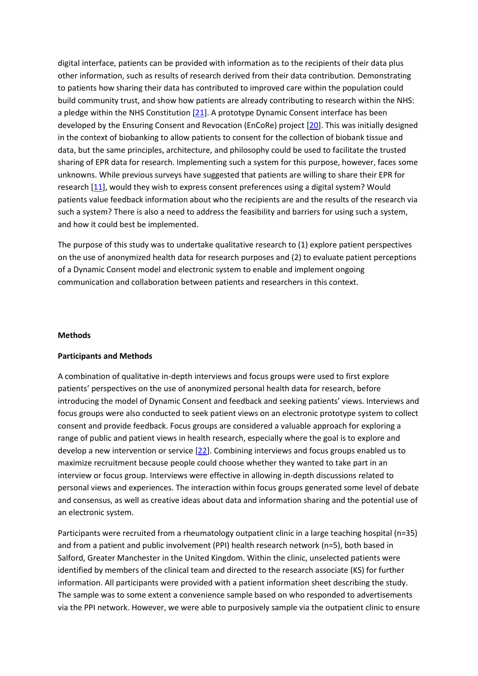digital interface, patients can be provided with information as to the recipients of their data plus other information, such as results of research derived from their data contribution. Demonstrating to patients how sharing their data has contributed to improved care within the population could build community trust, and show how patients are already contributing to research within the NHS: a pledge within the NHS Constitution [\[21\]](http://www.jmir.org/2016/4/e66/#ref21). A prototype Dynamic Consent interface has been developed by the Ensuring Consent and Revocation (EnCoRe) project [\[20\]](http://www.jmir.org/2016/4/e66/#ref20). This was initially designed in the context of biobanking to allow patients to consent for the collection of biobank tissue and data, but the same principles, architecture, and philosophy could be used to facilitate the trusted sharing of EPR data for research. Implementing such a system for this purpose, however, faces some unknowns. While previous surveys have suggested that patients are willing to share their EPR for research [\[11\]](http://www.jmir.org/2016/4/e66/#ref11), would they wish to express consent preferences using a digital system? Would patients value feedback information about who the recipients are and the results of the research via such a system? There is also a need to address the feasibility and barriers for using such a system, and how it could best be implemented.

The purpose of this study was to undertake qualitative research to (1) explore patient perspectives on the use of anonymized health data for research purposes and (2) to evaluate patient perceptions of a Dynamic Consent model and electronic system to enable and implement ongoing communication and collaboration between patients and researchers in this context.

#### **Methods**

#### **Participants and Methods**

A combination of qualitative in-depth interviews and focus groups were used to first explore patients' perspectives on the use of anonymized personal health data for research, before introducing the model of Dynamic Consent and feedback and seeking patients' views. Interviews and focus groups were also conducted to seek patient views on an electronic prototype system to collect consent and provide feedback. Focus groups are considered a valuable approach for exploring a range of public and patient views in health research, especially where the goal is to explore and develop a new intervention or service [\[22\]](http://www.jmir.org/2016/4/e66/#ref22). Combining interviews and focus groups enabled us to maximize recruitment because people could choose whether they wanted to take part in an interview or focus group. Interviews were effective in allowing in-depth discussions related to personal views and experiences. The interaction within focus groups generated some level of debate and consensus, as well as creative ideas about data and information sharing and the potential use of an electronic system.

Participants were recruited from a rheumatology outpatient clinic in a large teaching hospital (n=35) and from a patient and public involvement (PPI) health research network (n=5), both based in Salford, Greater Manchester in the United Kingdom. Within the clinic, unselected patients were identified by members of the clinical team and directed to the research associate (KS) for further information. All participants were provided with a patient information sheet describing the study. The sample was to some extent a convenience sample based on who responded to advertisements via the PPI network. However, we were able to purposively sample via the outpatient clinic to ensure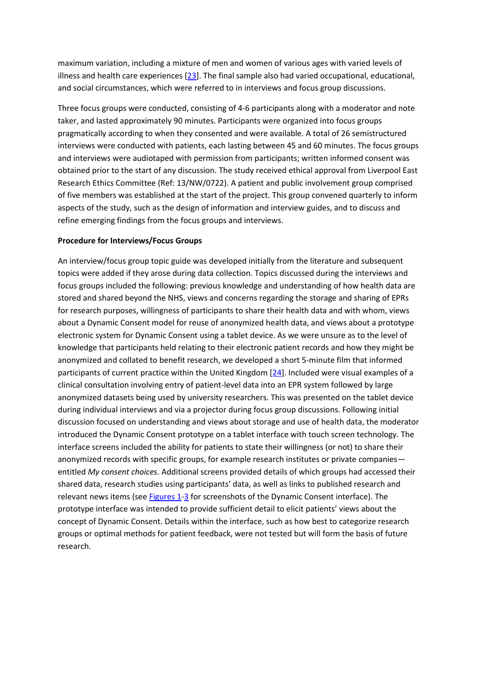maximum variation, including a mixture of men and women of various ages with varied levels of illness and health care experiences [\[23\]](http://www.jmir.org/2016/4/e66/#ref23). The final sample also had varied occupational, educational, and social circumstances, which were referred to in interviews and focus group discussions.

Three focus groups were conducted, consisting of 4-6 participants along with a moderator and note taker, and lasted approximately 90 minutes. Participants were organized into focus groups pragmatically according to when they consented and were available. A total of 26 semistructured interviews were conducted with patients, each lasting between 45 and 60 minutes. The focus groups and interviews were audiotaped with permission from participants; written informed consent was obtained prior to the start of any discussion. The study received ethical approval from Liverpool East Research Ethics Committee (Ref: 13/NW/0722). A patient and public involvement group comprised of five members was established at the start of the project. This group convened quarterly to inform aspects of the study, such as the design of information and interview guides, and to discuss and refine emerging findings from the focus groups and interviews.

#### **Procedure for Interviews/Focus Groups**

An interview/focus group topic guide was developed initially from the literature and subsequent topics were added if they arose during data collection. Topics discussed during the interviews and focus groups included the following: previous knowledge and understanding of how health data are stored and shared beyond the NHS, views and concerns regarding the storage and sharing of EPRs for research purposes, willingness of participants to share their health data and with whom, views about a Dynamic Consent model for reuse of anonymized health data, and views about a prototype electronic system for Dynamic Consent using a tablet device. As we were unsure as to the level of knowledge that participants held relating to their electronic patient records and how they might be anonymized and collated to benefit research, we developed a short 5-minute film that informed participants of current practice within the United Kingdom [\[24\]](http://www.jmir.org/2016/4/e66/#ref24). Included were visual examples of a clinical consultation involving entry of patient-level data into an EPR system followed by large anonymized datasets being used by university researchers. This was presented on the tablet device during individual interviews and via a projector during focus group discussions. Following initial discussion focused on understanding and views about storage and use of health data, the moderator introduced the Dynamic Consent prototype on a tablet interface with touch screen technology. The interface screens included the ability for patients to state their willingness (or not) to share their anonymized records with specific groups, for example research institutes or private companies entitled *My consent choices*. Additional screens provided details of which groups had accessed their shared data, research studies using participants' data, as well as links to published research and relevant news items (see [Figures 1](http://www.jmir.org/2016/4/e66/#figure1)[-3](http://www.jmir.org/2016/4/e66/#figure3) for screenshots of the Dynamic Consent interface). The prototype interface was intended to provide sufficient detail to elicit patients' views about the concept of Dynamic Consent. Details within the interface, such as how best to categorize research groups or optimal methods for patient feedback, were not tested but will form the basis of future research.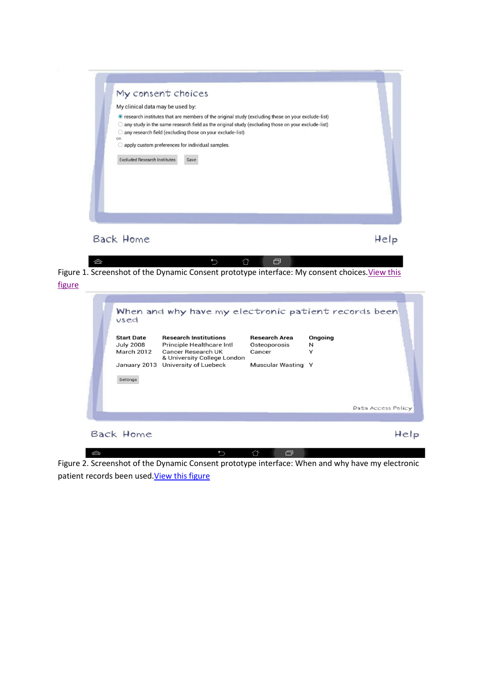| My consent choices                                             |                                                                                                     |
|----------------------------------------------------------------|-----------------------------------------------------------------------------------------------------|
| My clinical data may be used by:                               |                                                                                                     |
|                                                                | ● research institutes that are members of the original study (excluding those on your exclude-list) |
| $\bigcirc$                                                     | any study in the same research field as the original study (excluding those on your exclude-list)   |
| any research field (excluding those on your exclude-list)<br>O |                                                                                                     |
| OR<br>apply custom preferences for individual samples.<br>O    |                                                                                                     |
|                                                                |                                                                                                     |
|                                                                |                                                                                                     |
| Back Home                                                      |                                                                                                     |

 $\begin{tabular}{ccccc} \multicolumn{4}{c|}{\textbf{1}} & \multicolumn{4}{c|}{\textbf{2}} & \multicolumn{4}{c|}{\textbf{3}} & \multicolumn{4}{c|}{\textbf{4}} & \multicolumn{4}{c|}{\textbf{5}} & \multicolumn{4}{c|}{\textbf{6}} & \multicolumn{4}{c|}{\textbf{7}} & \multicolumn{4}{c|}{\textbf{8}} & \multicolumn{4}{c|}{\textbf{9}} & \multicolumn{4}{c|}{\textbf{1}} & \multicolumn{4}{c|}{\textbf{1}} & \multicolumn{4}{c|}{\textbf{1}} & \multicolumn{4}{$  $\hat{\mathbb{D}}$ Figure 1. Screenshot of the Dynamic Consent prototype interface: My consent choices. View this [figure](http://www.jmir.org/article/viewFile/5011/1/81317)

| vsed                                                            | When and why have my electronic patient records been                                                                                                 |                                                                      |                   |                    |
|-----------------------------------------------------------------|------------------------------------------------------------------------------------------------------------------------------------------------------|----------------------------------------------------------------------|-------------------|--------------------|
| <b>Start Date</b><br><b>July 2008</b><br>March 2012<br>Settings | <b>Research Institutions</b><br>Principle Healthcare Intl<br>Cancer Research UK<br>& University College London<br>January 2013 University of Luebeck | <b>Research Area</b><br>Osteoporosis<br>Cancer<br>Muscular Wasting Y | Ongoing<br>N<br>Y | Data Access Policy |
| Back Home                                                       |                                                                                                                                                      |                                                                      |                   |                    |

Figure 2. Screenshot of the Dynamic Consent prototype interface: When and why have my electronic patient records been used. View this figure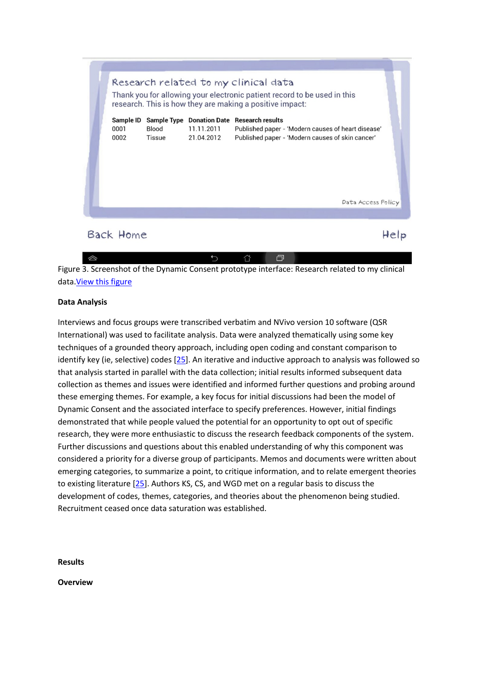

Figure 3. Screenshot of the Dynamic Consent prototype interface: Research related to my clinical data[.View this figure](http://www.jmir.org/article/viewFile/5011/1/81316)

# **Data Analysis**

Interviews and focus groups were transcribed verbatim and NVivo version 10 software (QSR International) was used to facilitate analysis. Data were analyzed thematically using some key techniques of a grounded theory approach, including open coding and constant comparison to identify key (ie, selective) codes [\[25\]](http://www.jmir.org/2016/4/e66/#ref25). An iterative and inductive approach to analysis was followed so that analysis started in parallel with the data collection; initial results informed subsequent data collection as themes and issues were identified and informed further questions and probing around these emerging themes. For example, a key focus for initial discussions had been the model of Dynamic Consent and the associated interface to specify preferences. However, initial findings demonstrated that while people valued the potential for an opportunity to opt out of specific research, they were more enthusiastic to discuss the research feedback components of the system. Further discussions and questions about this enabled understanding of why this component was considered a priority for a diverse group of participants. Memos and documents were written about emerging categories, to summarize a point, to critique information, and to relate emergent theories to existing literature [\[25\]](http://www.jmir.org/2016/4/e66/#ref25). Authors KS, CS, and WGD met on a regular basis to discuss the development of codes, themes, categories, and theories about the phenomenon being studied. Recruitment ceased once data saturation was established.

**Results**

**Overview**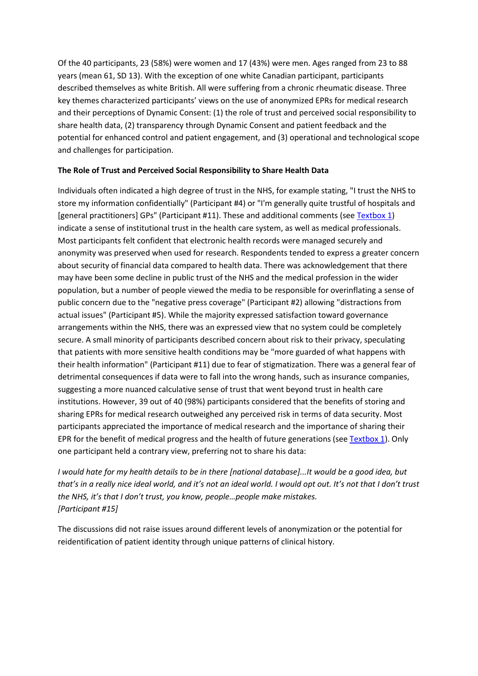Of the 40 participants, 23 (58%) were women and 17 (43%) were men. Ages ranged from 23 to 88 years (mean 61, SD 13). With the exception of one white Canadian participant, participants described themselves as white British. All were suffering from a chronic rheumatic disease. Three key themes characterized participants' views on the use of anonymized EPRs for medical research and their perceptions of Dynamic Consent: (1) the role of trust and perceived social responsibility to share health data, (2) transparency through Dynamic Consent and patient feedback and the potential for enhanced control and patient engagement, and (3) operational and technological scope and challenges for participation.

# **The Role of Trust and Perceived Social Responsibility to Share Health Data**

Individuals often indicated a high degree of trust in the NHS, for example stating, "I trust the NHS to store my information confidentially" (Participant #4) or "I'm generally quite trustful of hospitals and [general practitioners] GPs" (Participant #11). These and additional comments (see [Textbox 1\)](http://www.jmir.org/2016/4/e66/#box1) indicate a sense of institutional trust in the health care system, as well as medical professionals. Most participants felt confident that electronic health records were managed securely and anonymity was preserved when used for research. Respondents tended to express a greater concern about security of financial data compared to health data. There was acknowledgement that there may have been some decline in public trust of the NHS and the medical profession in the wider population, but a number of people viewed the media to be responsible for overinflating a sense of public concern due to the "negative press coverage" (Participant #2) allowing "distractions from actual issues" (Participant #5). While the majority expressed satisfaction toward governance arrangements within the NHS, there was an expressed view that no system could be completely secure. A small minority of participants described concern about risk to their privacy, speculating that patients with more sensitive health conditions may be "more guarded of what happens with their health information" (Participant #11) due to fear of stigmatization. There was a general fear of detrimental consequences if data were to fall into the wrong hands, such as insurance companies, suggesting a more nuanced calculative sense of trust that went beyond trust in health care institutions. However, 39 out of 40 (98%) participants considered that the benefits of storing and sharing EPRs for medical research outweighed any perceived risk in terms of data security. Most participants appreciated the importance of medical research and the importance of sharing their EPR for the benefit of medical progress and the health of future generations (see [Textbox 1\)](http://www.jmir.org/2016/4/e66/#box1). Only one participant held a contrary view, preferring not to share his data:

*I would hate for my health details to be in there [national database]...It would be a good idea, but that's in a really nice ideal world, and it's not an ideal world. I would opt out. It's not that I don't trust the NHS, it's that I don't trust, you know, people…people make mistakes. [Participant #15]*

The discussions did not raise issues around different levels of anonymization or the potential for reidentification of patient identity through unique patterns of clinical history.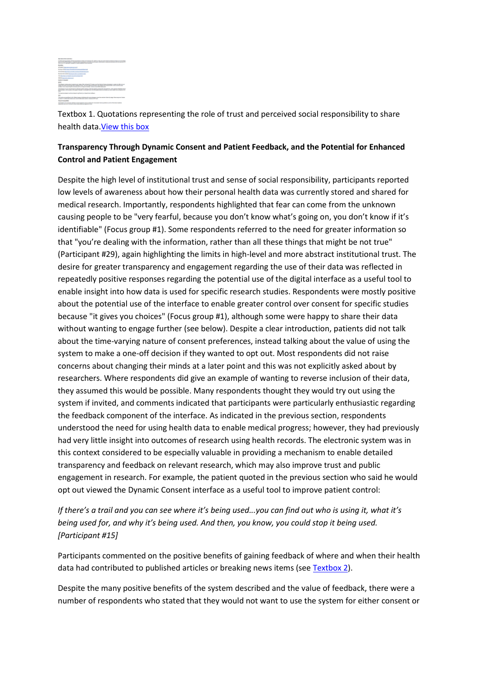

Textbox 1. Quotations representing the role of trust and perceived social responsibility to share health data[.View this box](javascript:Box1())

# **Transparency Through Dynamic Consent and Patient Feedback, and the Potential for Enhanced Control and Patient Engagement**

Despite the high level of institutional trust and sense of social responsibility, participants reported low levels of awareness about how their personal health data was currently stored and shared for medical research. Importantly, respondents highlighted that fear can come from the unknown causing people to be "very fearful, because you don't know what's going on, you don't know if it's identifiable" (Focus group #1). Some respondents referred to the need for greater information so that "you're dealing with the information, rather than all these things that might be not true" (Participant #29), again highlighting the limits in high-level and more abstract institutional trust. The desire for greater transparency and engagement regarding the use of their data was reflected in repeatedly positive responses regarding the potential use of the digital interface as a useful tool to enable insight into how data is used for specific research studies. Respondents were mostly positive about the potential use of the interface to enable greater control over consent for specific studies because "it gives you choices" (Focus group #1), although some were happy to share their data without wanting to engage further (see below). Despite a clear introduction, patients did not talk about the time-varying nature of consent preferences, instead talking about the value of using the system to make a one-off decision if they wanted to opt out. Most respondents did not raise concerns about changing their minds at a later point and this was not explicitly asked about by researchers. Where respondents did give an example of wanting to reverse inclusion of their data, they assumed this would be possible. Many respondents thought they would try out using the system if invited, and comments indicated that participants were particularly enthusiastic regarding the feedback component of the interface. As indicated in the previous section, respondents understood the need for using health data to enable medical progress; however, they had previously had very little insight into outcomes of research using health records. The electronic system was in this context considered to be especially valuable in providing a mechanism to enable detailed transparency and feedback on relevant research, which may also improve trust and public engagement in research. For example, the patient quoted in the previous section who said he would opt out viewed the Dynamic Consent interface as a useful tool to improve patient control:

*If there's a trail and you can see where it's being used...you can find out who is using it, what it's being used for, and why it's being used. And then, you know, you could stop it being used. [Participant #15]*

Participants commented on the positive benefits of gaining feedback of where and when their health data had contributed to published articles or breaking news items (see [Textbox 2\)](http://www.jmir.org/2016/4/e66/#box2).

Despite the many positive benefits of the system described and the value of feedback, there were a number of respondents who stated that they would not want to use the system for either consent or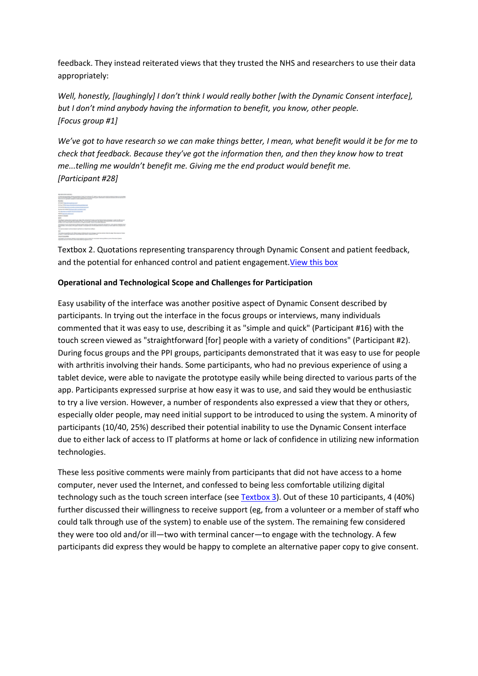feedback. They instead reiterated views that they trusted the NHS and researchers to use their data appropriately:

*Well, honestly, [laughingly] I don't think I would really bother [with the Dynamic Consent interface], but I don't mind anybody having the information to benefit, you know, other people. [Focus group #1]*

*We've got to have research so we can make things better, I mean, what benefit would it be for me to check that feedback. Because they've got the information then, and then they know how to treat me...telling me wouldn't benefit me. Giving me the end product would benefit me. [Participant #28]*



Textbox 2. Quotations representing transparency through Dynamic Consent and patient feedback, and the potential for enhanced control and patient engagement. View this box

# **Operational and Technological Scope and Challenges for Participation**

Easy usability of the interface was another positive aspect of Dynamic Consent described by participants. In trying out the interface in the focus groups or interviews, many individuals commented that it was easy to use, describing it as "simple and quick" (Participant #16) with the touch screen viewed as "straightforward [for] people with a variety of conditions" (Participant #2). During focus groups and the PPI groups, participants demonstrated that it was easy to use for people with arthritis involving their hands. Some participants, who had no previous experience of using a tablet device, were able to navigate the prototype easily while being directed to various parts of the app. Participants expressed surprise at how easy it was to use, and said they would be enthusiastic to try a live version. However, a number of respondents also expressed a view that they or others, especially older people, may need initial support to be introduced to using the system. A minority of participants (10/40, 25%) described their potential inability to use the Dynamic Consent interface due to either lack of access to IT platforms at home or lack of confidence in utilizing new information technologies.

These less positive comments were mainly from participants that did not have access to a home computer, never used the Internet, and confessed to being less comfortable utilizing digital technology such as the touch screen interface (see [Textbox 3\)](http://www.jmir.org/2016/4/e66/#box3). Out of these 10 participants, 4 (40%) further discussed their willingness to receive support (eg, from a volunteer or a member of staff who could talk through use of the system) to enable use of the system. The remaining few considered they were too old and/or ill—two with terminal cancer—to engage with the technology. A few participants did express they would be happy to complete an alternative paper copy to give consent.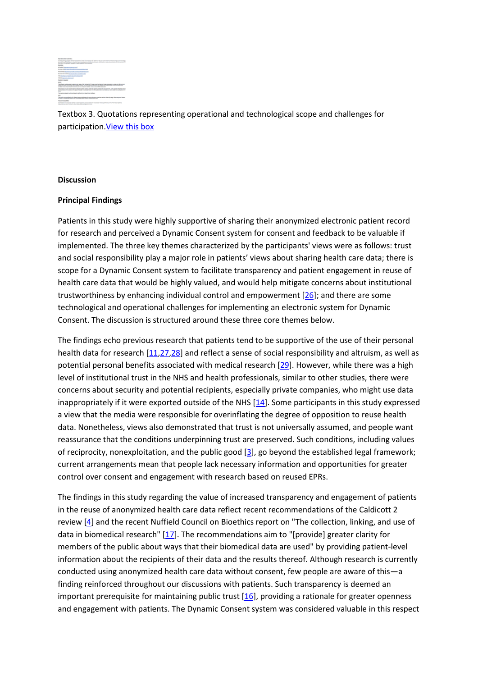

Textbox 3. Quotations representing operational and technological scope and challenges for participation[.View this box](javascript:Box3())

#### **Discussion**

#### **Principal Findings**

Patients in this study were highly supportive of sharing their anonymized electronic patient record for research and perceived a Dynamic Consent system for consent and feedback to be valuable if implemented. The three key themes characterized by the participants' views were as follows: trust and social responsibility play a major role in patients' views about sharing health care data; there is scope for a Dynamic Consent system to facilitate transparency and patient engagement in reuse of health care data that would be highly valued, and would help mitigate concerns about institutional trustworthiness by enhancing individual control and empowerment [\[26\]](http://www.jmir.org/2016/4/e66/#ref26); and there are some technological and operational challenges for implementing an electronic system for Dynamic Consent. The discussion is structured around these three core themes below.

The findings echo previous research that patients tend to be supportive of the use of their personal health data for research [\[11](http://www.jmir.org/2016/4/e66/#ref11)[,27](http://www.jmir.org/2016/4/e66/#ref27)[,28\]](http://www.jmir.org/2016/4/e66/#ref28) and reflect a sense of social responsibility and altruism, as well as potential personal benefits associated with medical research [\[29\]](http://www.jmir.org/2016/4/e66/#ref29). However, while there was a high level of institutional trust in the NHS and health professionals, similar to other studies, there were concerns about security and potential recipients, especially private companies, who might use data inappropriately if it were exported outside of the NHS [\[14\]](http://www.jmir.org/2016/4/e66/#ref14). Some participants in this study expressed a view that the media were responsible for overinflating the degree of opposition to reuse health data. Nonetheless, views also demonstrated that trust is not universally assumed, and people want reassurance that the conditions underpinning trust are preserved. Such conditions, including values of reciprocity, nonexploitation, and the public good [\[3\]](http://www.jmir.org/2016/4/e66/#ref3), go beyond the established legal framework; current arrangements mean that people lack necessary information and opportunities for greater control over consent and engagement with research based on reused EPRs.

The findings in this study regarding the value of increased transparency and engagement of patients in the reuse of anonymized health care data reflect recent recommendations of the Caldicott 2 review [\[4\]](http://www.jmir.org/2016/4/e66/#ref4) and the recent Nuffield Council on Bioethics report on "The collection, linking, and use of data in biomedical research" [\[17\]](http://www.jmir.org/2016/4/e66/#ref17). The recommendations aim to "[provide] greater clarity for members of the public about ways that their biomedical data are used" by providing patient-level information about the recipients of their data and the results thereof. Although research is currently conducted using anonymized health care data without consent, few people are aware of this—a finding reinforced throughout our discussions with patients. Such transparency is deemed an important prerequisite for maintaining public trust [\[16\]](http://www.jmir.org/2016/4/e66/#ref16), providing a rationale for greater openness and engagement with patients. The Dynamic Consent system was considered valuable in this respect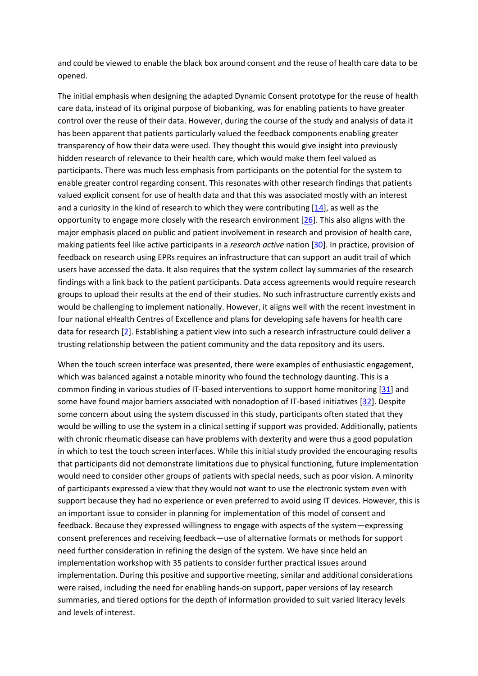and could be viewed to enable the black box around consent and the reuse of health care data to be opened.

The initial emphasis when designing the adapted Dynamic Consent prototype for the reuse of health care data, instead of its original purpose of biobanking, was for enabling patients to have greater control over the reuse of their data. However, during the course of the study and analysis of data it has been apparent that patients particularly valued the feedback components enabling greater transparency of how their data were used. They thought this would give insight into previously hidden research of relevance to their health care, which would make them feel valued as participants. There was much less emphasis from participants on the potential for the system to enable greater control regarding consent. This resonates with other research findings that patients valued explicit consent for use of health data and that this was associated mostly with an interest and a curiosity in the kind of research to which they were contributing [\[14\]](http://www.jmir.org/2016/4/e66/#ref14), as well as the opportunity to engage more closely with the research environment [\[26\]](http://www.jmir.org/2016/4/e66/#ref26). This also aligns with the major emphasis placed on public and patient involvement in research and provision of health care, making patients feel like active participants in a *research active* nation [\[30\]](http://www.jmir.org/2016/4/e66/#ref30). In practice, provision of feedback on research using EPRs requires an infrastructure that can support an audit trail of which users have accessed the data. It also requires that the system collect lay summaries of the research findings with a link back to the patient participants. Data access agreements would require research groups to upload their results at the end of their studies. No such infrastructure currently exists and would be challenging to implement nationally. However, it aligns well with the recent investment in four national eHealth Centres of Excellence and plans for developing safe havens for health care data for research [\[2\]](http://www.jmir.org/2016/4/e66/#ref2). Establishing a patient view into such a research infrastructure could deliver a trusting relationship between the patient community and the data repository and its users.

When the touch screen interface was presented, there were examples of enthusiastic engagement, which was balanced against a notable minority who found the technology daunting. This is a common finding in various studies of IT-based interventions to support home monitoring [\[31\]](http://www.jmir.org/2016/4/e66/#ref31) and some have found major barriers associated with nonadoption of IT-based initiatives [\[32\]](http://www.jmir.org/2016/4/e66/#ref32). Despite some concern about using the system discussed in this study, participants often stated that they would be willing to use the system in a clinical setting if support was provided. Additionally, patients with chronic rheumatic disease can have problems with dexterity and were thus a good population in which to test the touch screen interfaces. While this initial study provided the encouraging results that participants did not demonstrate limitations due to physical functioning, future implementation would need to consider other groups of patients with special needs, such as poor vision. A minority of participants expressed a view that they would not want to use the electronic system even with support because they had no experience or even preferred to avoid using IT devices. However, this is an important issue to consider in planning for implementation of this model of consent and feedback. Because they expressed willingness to engage with aspects of the system—expressing consent preferences and receiving feedback—use of alternative formats or methods for support need further consideration in refining the design of the system. We have since held an implementation workshop with 35 patients to consider further practical issues around implementation. During this positive and supportive meeting, similar and additional considerations were raised, including the need for enabling hands-on support, paper versions of lay research summaries, and tiered options for the depth of information provided to suit varied literacy levels and levels of interest.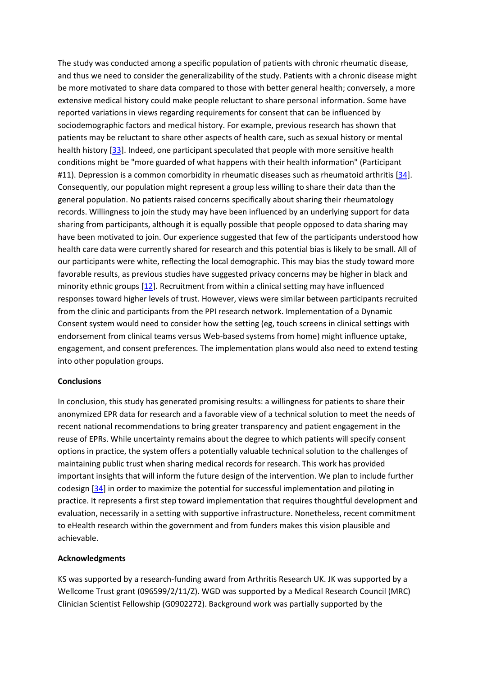The study was conducted among a specific population of patients with chronic rheumatic disease, and thus we need to consider the generalizability of the study. Patients with a chronic disease might be more motivated to share data compared to those with better general health; conversely, a more extensive medical history could make people reluctant to share personal information. Some have reported variations in views regarding requirements for consent that can be influenced by sociodemographic factors and medical history. For example, previous research has shown that patients may be reluctant to share other aspects of health care, such as sexual history or mental health history [\[33\]](http://www.jmir.org/2016/4/e66/#ref33). Indeed, one participant speculated that people with more sensitive health conditions might be "more guarded of what happens with their health information" (Participant #11). Depression is a common comorbidity in rheumatic diseases such as rheumatoid arthritis [\[34\]](http://www.jmir.org/2016/4/e66/#ref34). Consequently, our population might represent a group less willing to share their data than the general population. No patients raised concerns specifically about sharing their rheumatology records. Willingness to join the study may have been influenced by an underlying support for data sharing from participants, although it is equally possible that people opposed to data sharing may have been motivated to join. Our experience suggested that few of the participants understood how health care data were currently shared for research and this potential bias is likely to be small. All of our participants were white, reflecting the local demographic. This may bias the study toward more favorable results, as previous studies have suggested privacy concerns may be higher in black and minority ethnic groups [\[12\]](http://www.jmir.org/2016/4/e66/#ref12). Recruitment from within a clinical setting may have influenced responses toward higher levels of trust. However, views were similar between participants recruited from the clinic and participants from the PPI research network. Implementation of a Dynamic Consent system would need to consider how the setting (eg, touch screens in clinical settings with endorsement from clinical teams versus Web-based systems from home) might influence uptake, engagement, and consent preferences. The implementation plans would also need to extend testing into other population groups.

#### **Conclusions**

In conclusion, this study has generated promising results: a willingness for patients to share their anonymized EPR data for research and a favorable view of a technical solution to meet the needs of recent national recommendations to bring greater transparency and patient engagement in the reuse of EPRs. While uncertainty remains about the degree to which patients will specify consent options in practice, the system offers a potentially valuable technical solution to the challenges of maintaining public trust when sharing medical records for research. This work has provided important insights that will inform the future design of the intervention. We plan to include further codesign [\[34\]](http://www.jmir.org/2016/4/e66/#ref34) in order to maximize the potential for successful implementation and piloting in practice. It represents a first step toward implementation that requires thoughtful development and evaluation, necessarily in a setting with supportive infrastructure. Nonetheless, recent commitment to eHealth research within the government and from funders makes this vision plausible and achievable.

#### **Acknowledgments**

KS was supported by a research-funding award from Arthritis Research UK. JK was supported by a Wellcome Trust grant (096599/2/11/Z). WGD was supported by a Medical Research Council (MRC) Clinician Scientist Fellowship (G0902272). Background work was partially supported by the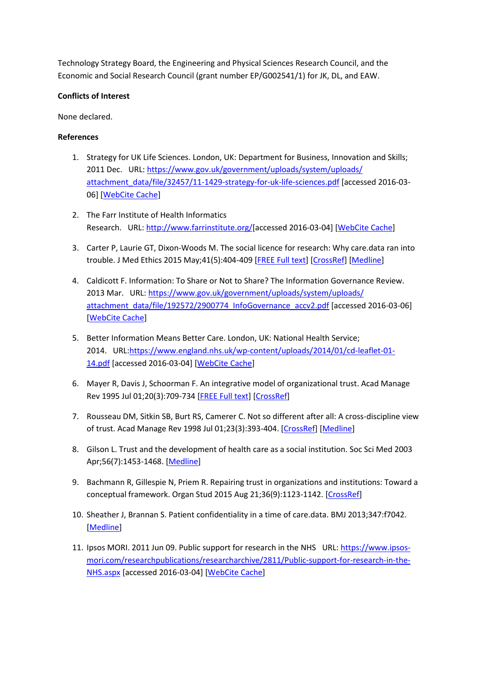Technology Strategy Board, the Engineering and Physical Sciences Research Council, and the Economic and Social Research Council (grant number EP/G002541/1) for JK, DL, and EAW.

# **Conflicts of Interest**

None declared.

# **References**

- 1. Strategy for UK Life Sciences. London, UK: Department for Business, Innovation and Skills; 2011 Dec. URL: [https://www.gov.uk/government/uploads/system/uploads/](https://www.gov.uk/government/uploads/system/uploads/attachment_data/file/32457/11-1429-strategy-for-uk-life-sciences.pdf) [attachment\\_data/file/32457/11-1429-strategy-for-uk-life-sciences.pdf](https://www.gov.uk/government/uploads/system/uploads/attachment_data/file/32457/11-1429-strategy-for-uk-life-sciences.pdf) [accessed 2016-03-06] [\[WebCite Cache\]](http://www.webcitation.org/6fogF9CgQ)
- 2. The Farr Institute of Health Informatics Research. URL: [http://www.farrinstitute.org/\[](http://www.farrinstitute.org/)accessed 2016-03-04] [\[WebCite Cache\]](http://www.webcitation.org/6fkyQF5Q3)
- 3. Carter P, Laurie GT, Dixon-Woods M. The social licence for research: Why care.data ran into trouble. J Med Ethics 2015 May;41(5):404-409 [\[FREE Full text\]](http://jme.bmj.com/cgi/pmidlookup?view=long&pmid=25617016) [\[CrossRef\]](http://dx.doi.org/10.1136/medethics-2014-102374) [\[Medline\]](http://www.ncbi.nlm.nih.gov/entrez/query.fcgi?cmd=Retrieve&db=PubMed&list_uids=25617016&dopt=Abstract)
- 4. Caldicott F. Information: To Share or Not to Share? The Information Governance Review. 2013 Mar. URL: [https://www.gov.uk/government/uploads/system/uploads/](https://www.gov.uk/government/uploads/system/uploads/attachment_data/file/192572/2900774_InfoGovernance_accv2.pdf) [attachment\\_data/file/192572/2900774\\_InfoGovernance\\_accv2.pdf](https://www.gov.uk/government/uploads/system/uploads/attachment_data/file/192572/2900774_InfoGovernance_accv2.pdf) [accessed 2016-03-06] [\[WebCite Cache\]](http://www.webcitation.org/6fogm6dR4)
- 5. Better Information Means Better Care. London, UK: National Health Service; 2014. URL[:https://www.england.nhs.uk/wp-content/uploads/2014/01/cd-leaflet-01-](https://www.england.nhs.uk/wp-content/uploads/2014/01/cd-leaflet-01-14.pdf) [14.pdf](https://www.england.nhs.uk/wp-content/uploads/2014/01/cd-leaflet-01-14.pdf) [accessed 2016-03-04] [\[WebCite Cache\]](http://www.webcitation.org/6fkymvGKh)
- 6. Mayer R, Davis J, Schoorman F. An integrative model of organizational trust. Acad Manage Rev 1995 Jul 01;20(3):709-734 [\[FREE Full text\]](http://people.wku.edu/richard.miller/Mayer%20Trust%20article.pdf) [\[CrossRef\]](http://dx.doi.org/10.5465/AMR.1995.9508080335)
- 7. Rousseau DM, Sitkin SB, Burt RS, Camerer C. Not so different after all: A cross-discipline view of trust. Acad Manage Rev 1998 Jul 01;23(3):393-404. [\[CrossRef\]](http://dx.doi.org/10.5465/Amr.1998.926617) [\[Medline\]](http://www.ncbi.nlm.nih.gov/entrez/query.fcgi?cmd=Retrieve&db=PubMed&list_uids=WOS:000075127800005&dopt=Abstract)
- 8. Gilson L. Trust and the development of health care as a social institution. Soc Sci Med 2003 Apr;56(7):1453-1468. [\[Medline\]](http://www.ncbi.nlm.nih.gov/entrez/query.fcgi?cmd=Retrieve&db=PubMed&list_uids=12614697&dopt=Abstract)
- 9. Bachmann R, Gillespie N, Priem R. Repairing trust in organizations and institutions: Toward a conceptual framework. Organ Stud 2015 Aug 21;36(9):1123-1142. [\[CrossRef\]](http://dx.doi.org/10.1177/0170840615599334)
- 10. Sheather J, Brannan S. Patient confidentiality in a time of care.data. BMJ 2013;347:f7042. [\[Medline\]](http://www.ncbi.nlm.nih.gov/entrez/query.fcgi?cmd=Retrieve&db=PubMed&list_uids=24284340&dopt=Abstract)
- 11. Ipsos MORI. 2011 Jun 09. Public support for research in the NHS URL: [https://www.ipsos](https://www.ipsos-mori.com/researchpublications/researcharchive/2811/Public-support-for-research-in-the-NHS.aspx)[mori.com/researchpublications/researcharchive/2811/Public-support-for-research-in-the-](https://www.ipsos-mori.com/researchpublications/researcharchive/2811/Public-support-for-research-in-the-NHS.aspx)[NHS.aspx](https://www.ipsos-mori.com/researchpublications/researcharchive/2811/Public-support-for-research-in-the-NHS.aspx) [accessed 2016-03-04] [\[WebCite Cache\]](http://www.webcitation.org/6fkzn4yhF)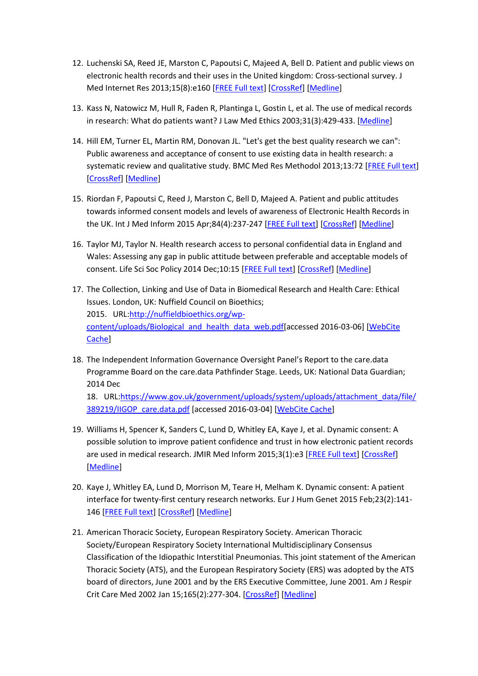- 12. Luchenski SA, Reed JE, Marston C, Papoutsi C, Majeed A, Bell D. Patient and public views on electronic health records and their uses in the United kingdom: Cross-sectional survey. J Med Internet Res 2013;15(8):e160 [\[FREE Full text\]](http://www.jmir.org/2013/8/e160/) [\[CrossRef\]](http://dx.doi.org/10.2196/jmir.2701) [\[Medline\]](http://www.ncbi.nlm.nih.gov/entrez/query.fcgi?cmd=Retrieve&db=PubMed&list_uids=23975239&dopt=Abstract)
- 13. Kass N, Natowicz M, Hull R, Faden R, Plantinga L, Gostin L, et al. The use of medical records in research: What do patients want? J Law Med Ethics 2003;31(3):429-433. [\[Medline\]](http://www.ncbi.nlm.nih.gov/entrez/query.fcgi?cmd=Retrieve&db=PubMed&list_uids=14626550&dopt=Abstract)
- 14. Hill EM, Turner EL, Martin RM, Donovan JL. "Let's get the best quality research we can": Public awareness and acceptance of consent to use existing data in health research: a systematic review and qualitative study. BMC Med Res Methodol 2013;13:72 [\[FREE Full text\]](http://bmcmedresmethodol.biomedcentral.com/articles/10.1186/1471-2288-13-72) [\[CrossRef\]](http://dx.doi.org/10.1186/1471-2288-13-72) [\[Medline\]](http://www.ncbi.nlm.nih.gov/entrez/query.fcgi?cmd=Retrieve&db=PubMed&list_uids=23734773&dopt=Abstract)
- 15. Riordan F, Papoutsi C, Reed J, Marston C, Bell D, Majeed A. Patient and public attitudes towards informed consent models and levels of awareness of Electronic Health Records in the UK. Int J Med Inform 2015 Apr;84(4):237-247 [\[FREE Full text\]](http://linkinghub.elsevier.com/retrieve/pii/S1386-5056(15)00011-8) [\[CrossRef\]](http://dx.doi.org/10.1016/j.ijmedinf.2015.01.008) [\[Medline\]](http://www.ncbi.nlm.nih.gov/entrez/query.fcgi?cmd=Retrieve&db=PubMed&list_uids=25649841&dopt=Abstract)
- 16. Taylor MJ, Taylor N. Health research access to personal confidential data in England and Wales: Assessing any gap in public attitude between preferable and acceptable models of consent. Life Sci Soc Policy 2014 Dec;10:15 [\[FREE Full text\]](http://europepmc.org/abstract/MED/26085451) [\[CrossRef\]](http://dx.doi.org/10.1186/s40504-014-0015-6) [\[Medline\]](http://www.ncbi.nlm.nih.gov/entrez/query.fcgi?cmd=Retrieve&db=PubMed&list_uids=26085451&dopt=Abstract)
- 17. The Collection, Linking and Use of Data in Biomedical Research and Health Care: Ethical Issues. London, UK: Nuffield Council on Bioethics; 2015. URL[:http://nuffieldbioethics.org/wp](http://nuffieldbioethics.org/wp-content/uploads/Biological_and_health_data_web.pdf)[content/uploads/Biological\\_and\\_health\\_data\\_web.pdf\[](http://nuffieldbioethics.org/wp-content/uploads/Biological_and_health_data_web.pdf)accessed 2016-03-06] [\[WebCite](http://www.webcitation.org/6foiOFViz)  [Cache\]](http://www.webcitation.org/6foiOFViz)
- 18. The Independent Information Governance Oversight Panel's Report to the care.data Programme Board on the care.data Pathfinder Stage. Leeds, UK: National Data Guardian; 2014 Dec

18. URL[:https://www.gov.uk/government/uploads/system/uploads/attachment\\_data/file/](https://www.gov.uk/government/uploads/system/uploads/attachment_data/file/389219/IIGOP_care.data.pdf) [389219/IIGOP\\_care.data.pdf](https://www.gov.uk/government/uploads/system/uploads/attachment_data/file/389219/IIGOP_care.data.pdf) [accessed 2016-03-04] [\[WebCite Cache\]](http://www.webcitation.org/6fl0MEbST)

- 19. Williams H, Spencer K, Sanders C, Lund D, Whitley EA, Kaye J, et al. Dynamic consent: A possible solution to improve patient confidence and trust in how electronic patient records are used in medical research. JMIR Med Inform 2015;3(1):e3 [\[FREE Full text\]](http://medinform.jmir.org/2015/1/e3/) [\[CrossRef\]](http://dx.doi.org/10.2196/medinform.3525) [\[Medline\]](http://www.ncbi.nlm.nih.gov/entrez/query.fcgi?cmd=Retrieve&db=PubMed&list_uids=25586934&dopt=Abstract)
- 20. Kaye J, Whitley EA, Lund D, Morrison M, Teare H, Melham K. Dynamic consent: A patient interface for twenty-first century research networks. Eur J Hum Genet 2015 Feb;23(2):141- 146 [\[FREE Full text\]](http://dx.doi.org/10.1038/ejhg.2014.71) [\[CrossRef\]](http://dx.doi.org/10.1038/ejhg.2014.71) [\[Medline\]](http://www.ncbi.nlm.nih.gov/entrez/query.fcgi?cmd=Retrieve&db=PubMed&list_uids=24801761&dopt=Abstract)
- 21. American Thoracic Society, European Respiratory Society. American Thoracic Society/European Respiratory Society International Multidisciplinary Consensus Classification of the Idiopathic Interstitial Pneumonias. This joint statement of the American Thoracic Society (ATS), and the European Respiratory Society (ERS) was adopted by the ATS board of directors, June 2001 and by the ERS Executive Committee, June 2001. Am J Respir Crit Care Med 2002 Jan 15;165(2):277-304. [\[CrossRef\]](http://dx.doi.org/10.1164/ajrccm.165.2.ats01) [\[Medline\]](http://www.ncbi.nlm.nih.gov/entrez/query.fcgi?cmd=Retrieve&db=PubMed&list_uids=11790668&dopt=Abstract)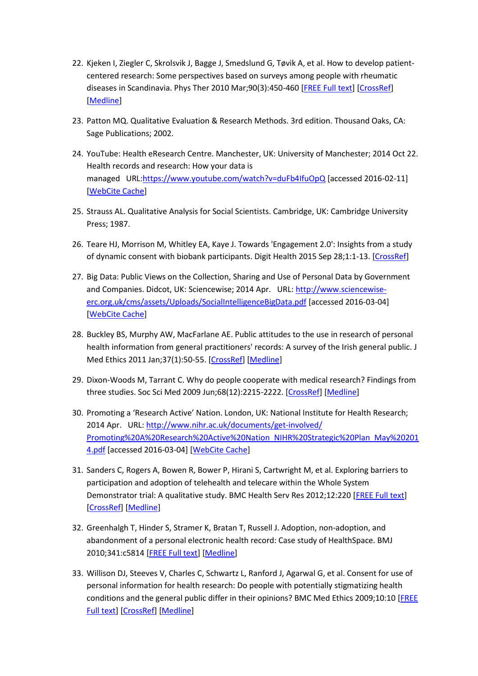- 22. Kjeken I, Ziegler C, Skrolsvik J, Bagge J, Smedslund G, Tøvik A, et al. How to develop patientcentered research: Some perspectives based on surveys among people with rheumatic diseases in Scandinavia. Phys Ther 2010 Mar;90(3):450-460 [\[FREE Full text\]](http://www.ptjournal.org/cgi/pmidlookup?view=long&pmid=20110341) [\[CrossRef\]](http://dx.doi.org/10.2522/ptj.20080381) [\[Medline\]](http://www.ncbi.nlm.nih.gov/entrez/query.fcgi?cmd=Retrieve&db=PubMed&list_uids=20110341&dopt=Abstract)
- 23. Patton MQ. Qualitative Evaluation & Research Methods. 3rd edition. Thousand Oaks, CA: Sage Publications; 2002.
- 24. YouTube: Health eResearch Centre. Manchester, UK: University of Manchester; 2014 Oct 22. Health records and research: How your data is managed URL[:https://www.youtube.com/watch?v=duFb4IfuOpQ](https://www.youtube.com/watch?v=duFb4IfuOpQ) [accessed 2016-02-11] [\[WebCite Cache\]](http://www.webcitation.org/6fDerNYST)
- 25. Strauss AL. Qualitative Analysis for Social Scientists. Cambridge, UK: Cambridge University Press; 1987.
- 26. Teare HJ, Morrison M, Whitley EA, Kaye J. Towards 'Engagement 2.0': Insights from a study of dynamic consent with biobank participants. Digit Health 2015 Sep 28;1:1-13. [\[CrossRef\]](http://dx.doi.org/10.1177/2055207615605644)
- 27. Big Data: Public Views on the Collection, Sharing and Use of Personal Data by Government and Companies. Didcot, UK: Sciencewise; 2014 Apr. URL: [http://www.sciencewise](http://www.sciencewise-erc.org.uk/cms/assets/Uploads/SocialIntelligenceBigData.pdf)[erc.org.uk/cms/assets/Uploads/SocialIntelligenceBigData.pdf](http://www.sciencewise-erc.org.uk/cms/assets/Uploads/SocialIntelligenceBigData.pdf) [accessed 2016-03-04] [\[WebCite Cache\]](http://www.webcitation.org/6fl11s0er)
- 28. Buckley BS, Murphy AW, MacFarlane AE. Public attitudes to the use in research of personal health information from general practitioners' records: A survey of the Irish general public. J Med Ethics 2011 Jan;37(1):50-55. [\[CrossRef\]](http://dx.doi.org/10.1136/jme.2010.037903) [\[Medline\]](http://www.ncbi.nlm.nih.gov/entrez/query.fcgi?cmd=Retrieve&db=PubMed&list_uids=21071570&dopt=Abstract)
- 29. Dixon-Woods M, Tarrant C. Why do people cooperate with medical research? Findings from three studies. Soc Sci Med 2009 Jun;68(12):2215-2222. [\[CrossRef\]](http://dx.doi.org/10.1016/j.socscimed.2009.03.034) [\[Medline\]](http://www.ncbi.nlm.nih.gov/entrez/query.fcgi?cmd=Retrieve&db=PubMed&list_uids=19394741&dopt=Abstract)
- 30. Promoting a 'Research Active' Nation. London, UK: National Institute for Health Research; 2014 Apr. URL: [http://www.nihr.ac.uk/documents/get-involved/](http://www.nihr.ac.uk/documents/get-involved/Promoting%20A%20Research%20Active%20Nation_NIHR%20Strategic%20Plan_May%202014.pdf) [Promoting%20A%20Research%20Active%20Nation\\_NIHR%20Strategic%20Plan\\_May%20201](http://www.nihr.ac.uk/documents/get-involved/Promoting%20A%20Research%20Active%20Nation_NIHR%20Strategic%20Plan_May%202014.pdf) [4.pdf](http://www.nihr.ac.uk/documents/get-involved/Promoting%20A%20Research%20Active%20Nation_NIHR%20Strategic%20Plan_May%202014.pdf) [accessed 2016-03-04] [\[WebCite Cache\]](http://www.webcitation.org/6fl1CK261)
- 31. Sanders C, Rogers A, Bowen R, Bower P, Hirani S, Cartwright M, et al. Exploring barriers to participation and adoption of telehealth and telecare within the Whole System Demonstrator trial: A qualitative study. BMC Health Serv Res 2012;12:220 [\[FREE Full text\]](http://bmchealthservres.biomedcentral.com/articles/10.1186/1472-6963-12-220) [\[CrossRef\]](http://dx.doi.org/10.1186/1472-6963-12-220) [\[Medline\]](http://www.ncbi.nlm.nih.gov/entrez/query.fcgi?cmd=Retrieve&db=PubMed&list_uids=22834978&dopt=Abstract)
- 32. Greenhalgh T, Hinder S, Stramer K, Bratan T, Russell J. Adoption, non-adoption, and abandonment of a personal electronic health record: Case study of HealthSpace. BMJ 2010;341:c5814 [\[FREE Full text\]](http://www.bmj.com/cgi/pmidlookup?view=long&pmid=21081595) [\[Medline\]](http://www.ncbi.nlm.nih.gov/entrez/query.fcgi?cmd=Retrieve&db=PubMed&list_uids=21081595&dopt=Abstract)
- 33. Willison DJ, Steeves V, Charles C, Schwartz L, Ranford J, Agarwal G, et al. Consent for use of personal information for health research: Do people with potentially stigmatizing health conditions and the general public differ in their opinions? BMC Med Ethics 2009;10:10 [\[FREE](http://bmcmedethics.biomedcentral.com/articles/10.1186/1472-6939-10-10)  [Full text\]](http://bmcmedethics.biomedcentral.com/articles/10.1186/1472-6939-10-10) [\[CrossRef\]](http://dx.doi.org/10.1186/1472-6939-10-10) [\[Medline\]](http://www.ncbi.nlm.nih.gov/entrez/query.fcgi?cmd=Retrieve&db=PubMed&list_uids=19630941&dopt=Abstract)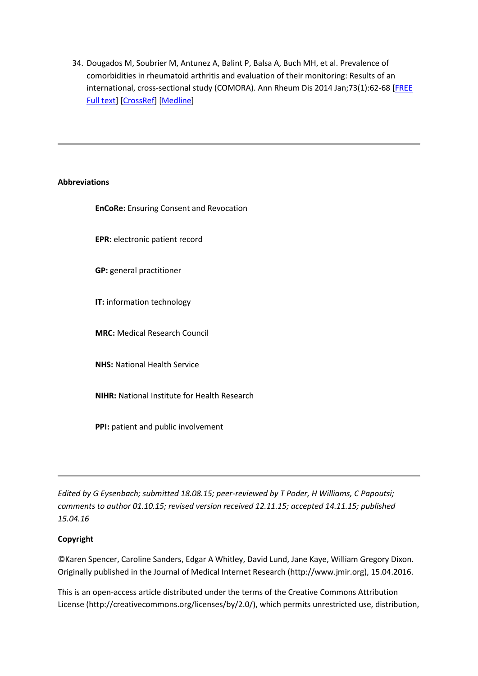34. Dougados M, Soubrier M, Antunez A, Balint P, Balsa A, Buch MH, et al. Prevalence of comorbidities in rheumatoid arthritis and evaluation of their monitoring: Results of an international, cross-sectional study (COMORA). Ann Rheum Dis 2014 Jan;73(1):62-68 [FREE [Full text\]](http://ard.bmj.com/cgi/pmidlookup?view=long&pmid=24095940) [\[CrossRef\]](http://dx.doi.org/10.1136/annrheumdis-2013-204223) [\[Medline\]](http://www.ncbi.nlm.nih.gov/entrez/query.fcgi?cmd=Retrieve&db=PubMed&list_uids=24095940&dopt=Abstract)

# **Abbreviations**

**EnCoRe:** Ensuring Consent and Revocation

**EPR:** electronic patient record

**GP:** general practitioner

**IT:** information technology

**MRC:** Medical Research Council

**NHS:** National Health Service

**NIHR:** National Institute for Health Research

**PPI:** patient and public involvement

*Edited by G Eysenbach; submitted 18.08.15; peer-reviewed by T Poder, H Williams, C Papoutsi; comments to author 01.10.15; revised version received 12.11.15; accepted 14.11.15; published 15.04.16*

# **Copyright**

©Karen Spencer, Caroline Sanders, Edgar A Whitley, David Lund, Jane Kaye, William Gregory Dixon. Originally published in the Journal of Medical Internet Research (http://www.jmir.org), 15.04.2016.

This is an open-access article distributed under the terms of the Creative Commons Attribution License (http://creativecommons.org/licenses/by/2.0/), which permits unrestricted use, distribution,